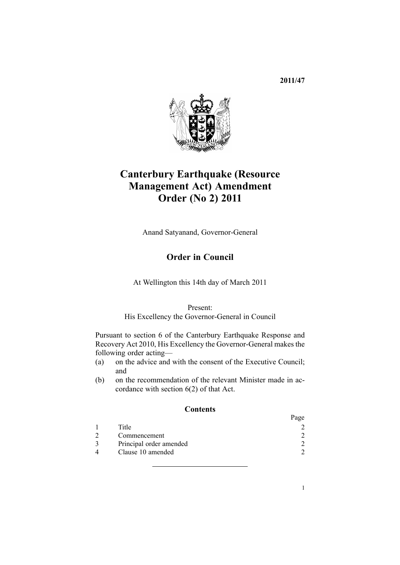**2011/47**



# **Canterbury Earthquake (Resource Management Act) Amendment Order (No 2) 2011**

Anand Satyanand, Governor-General

## **Order in Council**

At Wellington this 14th day of March 2011

Present:

His Excellency the Governor-General in Council

Pursuant to [section](http://www.legislation.govt.nz/pdflink.aspx?id=DLM3233036) 6 of the Canterbury Earthquake Response and Recovery Act 2010, His Excellency the Governor-General makes the following order acting—

- (a) on the advice and with the consent of the Executive Council; and
- (b) on the recommendation of the relevant Minister made in accordance with [section](http://www.legislation.govt.nz/pdflink.aspx?id=DLM3233036) 6(2) of that Act.

#### **Contents**

|                         | Page |
|-------------------------|------|
| Title                   |      |
| Commencement            |      |
| Principal order amended |      |
| Clause 10 amended       |      |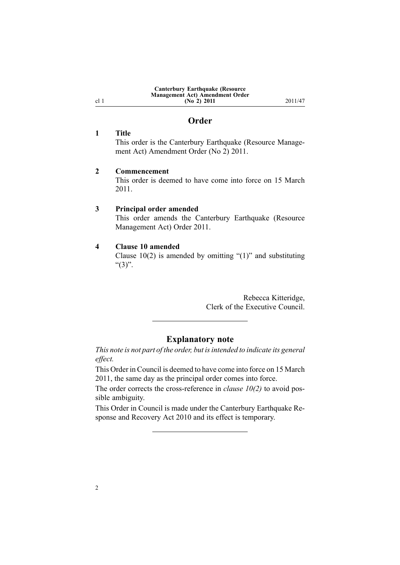| <b>Canterbury Earthquake (Resource</b> |  |
|----------------------------------------|--|
| Management Act) Amendment Order        |  |
| (No 2) 2011                            |  |

**(No 2) 2011** 2011/47

### **Order**

#### **1 Title**

<span id="page-1-0"></span>cl 1

This order is the Canterbury Earthquake (Resource Management Act) Amendment Order (No 2) 2011.

#### **2 Commencement**

This order is deemed to have come into force on 15 March 2011.

#### **3 Principal order amended**

This order amends the Canterbury [Earthquake](http://www.legislation.govt.nz/pdflink.aspx?id=DLM3588900) (Resource [Management](http://www.legislation.govt.nz/pdflink.aspx?id=DLM3588900) Act) Order 2011.

#### **4 Clause 10 amended**

[Clause](http://www.legislation.govt.nz/pdflink.aspx?id=DLM3588923)  $10(2)$  is amended by omitting "(1)" and substituting " $(3)$ ".

> Rebecca Kitteridge, Clerk of the Executive Council.

#### **Explanatory note**

*This note is not par<sup>t</sup> of the order, but isintended to indicate its general effect.*

This Order in Council is deemed to have come into force on 15 March 2011, the same day as the principal order comes into force.

The order corrects the cross-reference in *[clause](http://www.legislation.govt.nz/pdflink.aspx?id=DLM3588923) 10(2)* to avoid possible ambiguity.

This Order in Council is made under the Canterbury [Earthquake](http://www.legislation.govt.nz/pdflink.aspx?id=DLM3588900) Response and [Recovery](http://www.legislation.govt.nz/pdflink.aspx?id=DLM3588900) Act 2010 and its effect is temporary.